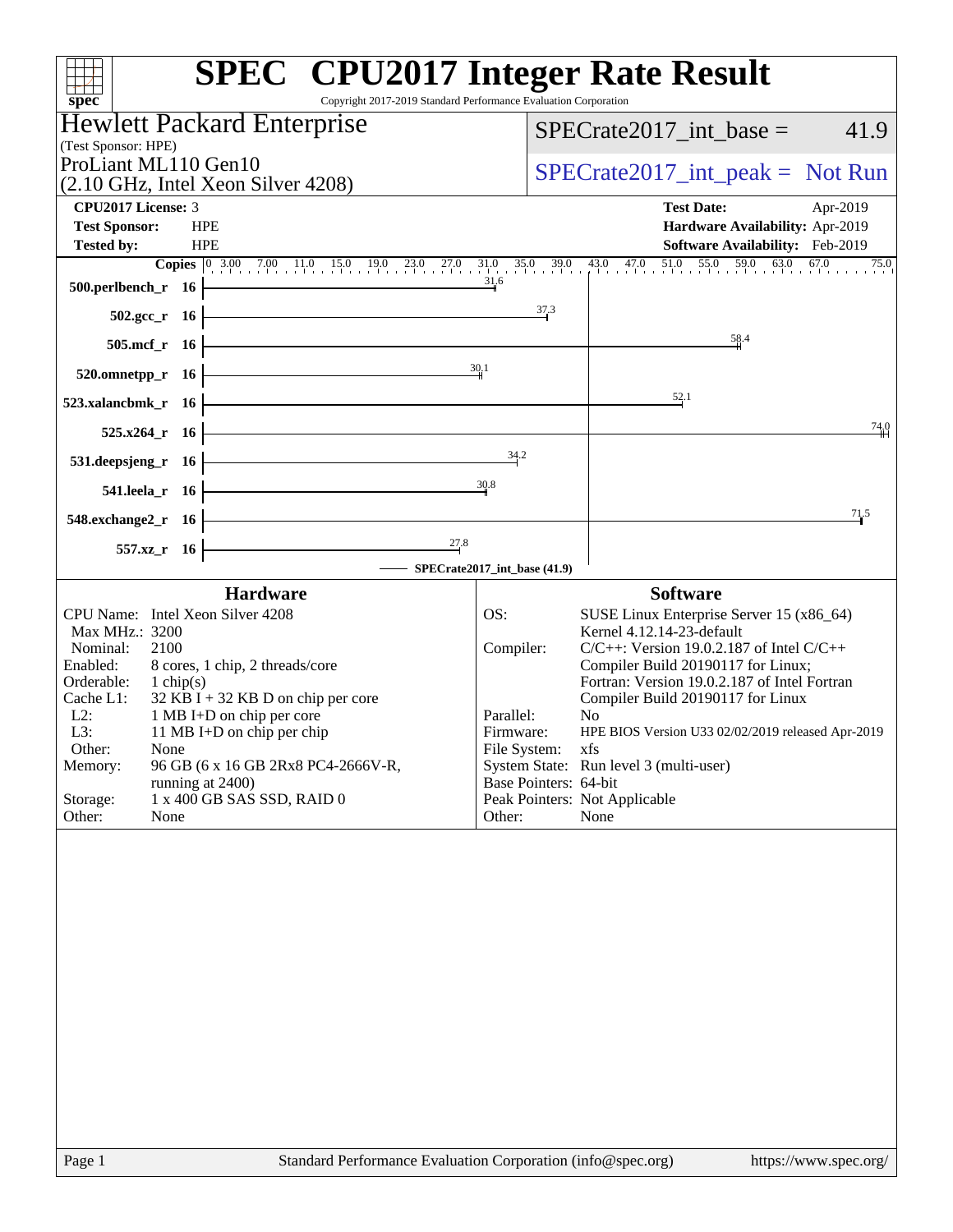| Copyright 2017-2019 Standard Performance Evaluation Corporation<br>spec <sup>®</sup>                                                                     | <b>SPEC<sup>®</sup></b> CPU2017 Integer Rate Result                                                                                                                                                                                                                                     |
|----------------------------------------------------------------------------------------------------------------------------------------------------------|-----------------------------------------------------------------------------------------------------------------------------------------------------------------------------------------------------------------------------------------------------------------------------------------|
| <b>Hewlett Packard Enterprise</b>                                                                                                                        | $SPECrate2017\_int\_base =$<br>41.9                                                                                                                                                                                                                                                     |
| (Test Sponsor: HPE)                                                                                                                                      |                                                                                                                                                                                                                                                                                         |
| ProLiant ML110 Gen10<br>(2.10 GHz, Intel Xeon Silver 4208)                                                                                               | $SPECrate2017\_int\_peak = Not Run$                                                                                                                                                                                                                                                     |
| CPU2017 License: 3                                                                                                                                       | <b>Test Date:</b><br>Apr-2019                                                                                                                                                                                                                                                           |
| <b>Test Sponsor:</b><br><b>HPE</b>                                                                                                                       | Hardware Availability: Apr-2019                                                                                                                                                                                                                                                         |
| <b>Tested by:</b><br><b>HPE</b>                                                                                                                          | Software Availability: Feb-2019                                                                                                                                                                                                                                                         |
| 500.perlbench_r 16                                                                                                                                       | <b>Copies</b> $\begin{bmatrix} 0 & 3.00 & 7.00 & 11.0 & 15.0 & 19.0 & 23.0 & 27.0 & 31.0 & 35.0 & 39.0 & 43.0 & 47.0 & 51.0 & 55.0 & 59.0 & 63.0 & 67.0 & 75.0 & 75.0 & 75.0 & 75.0 & 75.0 & 75.0 & 75.0 & 75.0 & 75.0 & 75.0 & 75.0 & 75.0 & 75.0 & 75.0 & 75.0 & 75.0 & 75.0$<br>31.6 |
| $502.\text{gcc}_r$ 16                                                                                                                                    | $\frac{37.3}{ }$                                                                                                                                                                                                                                                                        |
| $505.\text{mcf}_r$ 16                                                                                                                                    | 58.4                                                                                                                                                                                                                                                                                    |
| $520.0$ mnetpp_r 16                                                                                                                                      | 30.1                                                                                                                                                                                                                                                                                    |
| 523.xalancbmk_r $16$                                                                                                                                     | 52.1                                                                                                                                                                                                                                                                                    |
| $525.x264_r$ 16                                                                                                                                          | 74.0                                                                                                                                                                                                                                                                                    |
| <u> 1980 - Johann Barn, mars an t-Amerikaansk politiker (</u><br>$531.$ deepsjeng_r 16                                                                   | 34.2                                                                                                                                                                                                                                                                                    |
| $541.$ leela_r 16                                                                                                                                        | 30.8                                                                                                                                                                                                                                                                                    |
| <u> 1989 - Johann Barn, mars ann an t-Amhain an t-Amhain an t-Amhain an t-Amhain an t-Amhain an t-Amhain an t-Amh</u><br>$548$ .exchange $2\degree$ r 16 | 71.5                                                                                                                                                                                                                                                                                    |
| <u> 1980 - Johann Barbara, martxa a</u><br>$\frac{27.8}{4}$<br>$557.xz_r$ 16<br>SPECrate2017_int_base (41.9)                                             |                                                                                                                                                                                                                                                                                         |
| <b>Hardware</b>                                                                                                                                          | <b>Software</b>                                                                                                                                                                                                                                                                         |
| CPU Name: Intel Xeon Silver 4208                                                                                                                         | OS:<br>SUSE Linux Enterprise Server 15 (x86_64)                                                                                                                                                                                                                                         |
| Max MHz.: 3200                                                                                                                                           | Kernel 4.12.14-23-default                                                                                                                                                                                                                                                               |
| Nominal:<br>2100<br>Enabled:<br>8 cores, 1 chip, 2 threads/core                                                                                          | $C/C++$ : Version 19.0.2.187 of Intel $C/C++$<br>Compiler:<br>Compiler Build 20190117 for Linux;                                                                                                                                                                                        |
| Orderable:<br>1 chip(s)                                                                                                                                  | Fortran: Version 19.0.2.187 of Intel Fortran                                                                                                                                                                                                                                            |
| $32$ KB I + 32 KB D on chip per core<br>Cache L1:<br>$L2$ :<br>1 MB I+D on chip per core                                                                 | Compiler Build 20190117 for Linux<br>Parallel:<br>N <sub>0</sub>                                                                                                                                                                                                                        |
| L3:<br>11 MB I+D on chip per chip                                                                                                                        | HPE BIOS Version U33 02/02/2019 released Apr-2019<br>Firmware:                                                                                                                                                                                                                          |
| Other:<br>None<br>96 GB (6 x 16 GB 2Rx8 PC4-2666V-R,<br>Memory:                                                                                          | File System:<br>xfs<br>System State: Run level 3 (multi-user)                                                                                                                                                                                                                           |
| running at 2400)                                                                                                                                         | Base Pointers: 64-bit                                                                                                                                                                                                                                                                   |
| Storage:<br>1 x 400 GB SAS SSD, RAID 0<br>Other:<br>None                                                                                                 | Peak Pointers: Not Applicable<br>Other:<br>None                                                                                                                                                                                                                                         |
|                                                                                                                                                          |                                                                                                                                                                                                                                                                                         |
| Page 1                                                                                                                                                   | Standard Performance Evaluation Corporation (info@spec.org)<br>https://www.spec.org/                                                                                                                                                                                                    |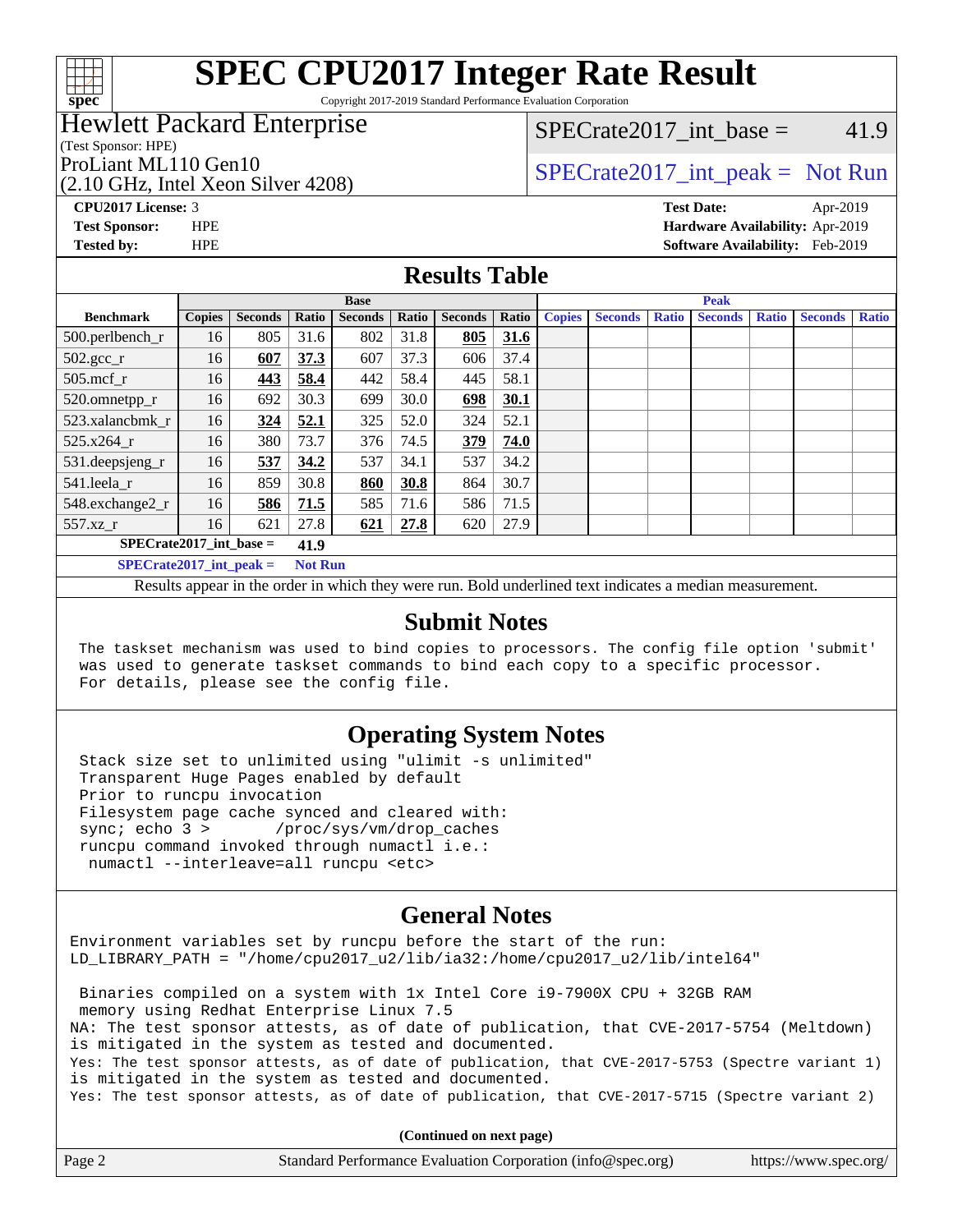

Copyright 2017-2019 Standard Performance Evaluation Corporation

### Hewlett Packard Enterprise

(Test Sponsor: HPE)

(2.10 GHz, Intel Xeon Silver 4208)

SPECrate2017 int\_base =  $41.9$ 

### ProLiant ML110 Gen10<br>  $SPECTate2017$ \_int\_peak = Not Run

**[CPU2017 License:](http://www.spec.org/auto/cpu2017/Docs/result-fields.html#CPU2017License)** 3 **[Test Date:](http://www.spec.org/auto/cpu2017/Docs/result-fields.html#TestDate)** Apr-2019 **[Test Sponsor:](http://www.spec.org/auto/cpu2017/Docs/result-fields.html#TestSponsor)** HPE **[Hardware Availability:](http://www.spec.org/auto/cpu2017/Docs/result-fields.html#HardwareAvailability)** Apr-2019 **[Tested by:](http://www.spec.org/auto/cpu2017/Docs/result-fields.html#Testedby)** HPE **[Software Availability:](http://www.spec.org/auto/cpu2017/Docs/result-fields.html#SoftwareAvailability)** Feb-2019

### **[Results Table](http://www.spec.org/auto/cpu2017/Docs/result-fields.html#ResultsTable)**

|                           | <b>Base</b>   |                |                |                | <b>Peak</b> |                |       |               |                |              |                |              |                |              |
|---------------------------|---------------|----------------|----------------|----------------|-------------|----------------|-------|---------------|----------------|--------------|----------------|--------------|----------------|--------------|
| <b>Benchmark</b>          | <b>Copies</b> | <b>Seconds</b> | Ratio          | <b>Seconds</b> | Ratio       | <b>Seconds</b> | Ratio | <b>Copies</b> | <b>Seconds</b> | <b>Ratio</b> | <b>Seconds</b> | <b>Ratio</b> | <b>Seconds</b> | <b>Ratio</b> |
| 500.perlbench_r           | 16            | 805            | 31.6           | 802            | 31.8        | 805            | 31.6  |               |                |              |                |              |                |              |
| $502.\text{gcc}_r$        | 16            | 607            | 37.3           | 607            | 37.3        | 606            | 37.4  |               |                |              |                |              |                |              |
| $505$ .mcf r              | 16            | 443            | 58.4           | 442            | 58.4        | 445            | 58.1  |               |                |              |                |              |                |              |
| 520.omnetpp_r             | 16            | 692            | 30.3           | 699            | 30.0        | 698            | 30.1  |               |                |              |                |              |                |              |
| 523.xalancbmk r           | 16            | 324            | 52.1           | 325            | 52.0        | 324            | 52.1  |               |                |              |                |              |                |              |
| 525.x264 r                | 16            | 380            | 73.7           | 376            | 74.5        | 379            | 74.0  |               |                |              |                |              |                |              |
| $531.$ deepsjeng $_r$     | 16            | 537            | 34.2           | 537            | 34.1        | 537            | 34.2  |               |                |              |                |              |                |              |
| 541.leela r               | 16            | 859            | 30.8           | 860            | 30.8        | 864            | 30.7  |               |                |              |                |              |                |              |
| 548.exchange2_r           | 16            | 586            | 71.5           | 585            | 71.6        | 586            | 71.5  |               |                |              |                |              |                |              |
| 557.xz                    | 16            | 621            | 27.8           | 621            | 27.8        | 620            | 27.9  |               |                |              |                |              |                |              |
| $SPECrate2017$ int base = |               |                | 41.9           |                |             |                |       |               |                |              |                |              |                |              |
| $SPECrate2017$ int peak = |               |                | <b>Not Run</b> |                |             |                |       |               |                |              |                |              |                |              |

Results appear in the [order in which they were run](http://www.spec.org/auto/cpu2017/Docs/result-fields.html#RunOrder). Bold underlined text [indicates a median measurement](http://www.spec.org/auto/cpu2017/Docs/result-fields.html#Median).

### **[Submit Notes](http://www.spec.org/auto/cpu2017/Docs/result-fields.html#SubmitNotes)**

 The taskset mechanism was used to bind copies to processors. The config file option 'submit' was used to generate taskset commands to bind each copy to a specific processor. For details, please see the config file.

### **[Operating System Notes](http://www.spec.org/auto/cpu2017/Docs/result-fields.html#OperatingSystemNotes)**

 Stack size set to unlimited using "ulimit -s unlimited" Transparent Huge Pages enabled by default Prior to runcpu invocation Filesystem page cache synced and cleared with: sync; echo 3 > /proc/sys/vm/drop\_caches runcpu command invoked through numactl i.e.: numactl --interleave=all runcpu <etc>

### **[General Notes](http://www.spec.org/auto/cpu2017/Docs/result-fields.html#GeneralNotes)**

Environment variables set by runcpu before the start of the run: LD\_LIBRARY\_PATH = "/home/cpu2017\_u2/lib/ia32:/home/cpu2017\_u2/lib/intel64"

 Binaries compiled on a system with 1x Intel Core i9-7900X CPU + 32GB RAM memory using Redhat Enterprise Linux 7.5 NA: The test sponsor attests, as of date of publication, that CVE-2017-5754 (Meltdown) is mitigated in the system as tested and documented. Yes: The test sponsor attests, as of date of publication, that CVE-2017-5753 (Spectre variant 1) is mitigated in the system as tested and documented. Yes: The test sponsor attests, as of date of publication, that CVE-2017-5715 (Spectre variant 2)

**(Continued on next page)**

| Page 2 | Standard Performance Evaluation Corporation (info@spec.org) | https://www.spec.org/ |
|--------|-------------------------------------------------------------|-----------------------|
|--------|-------------------------------------------------------------|-----------------------|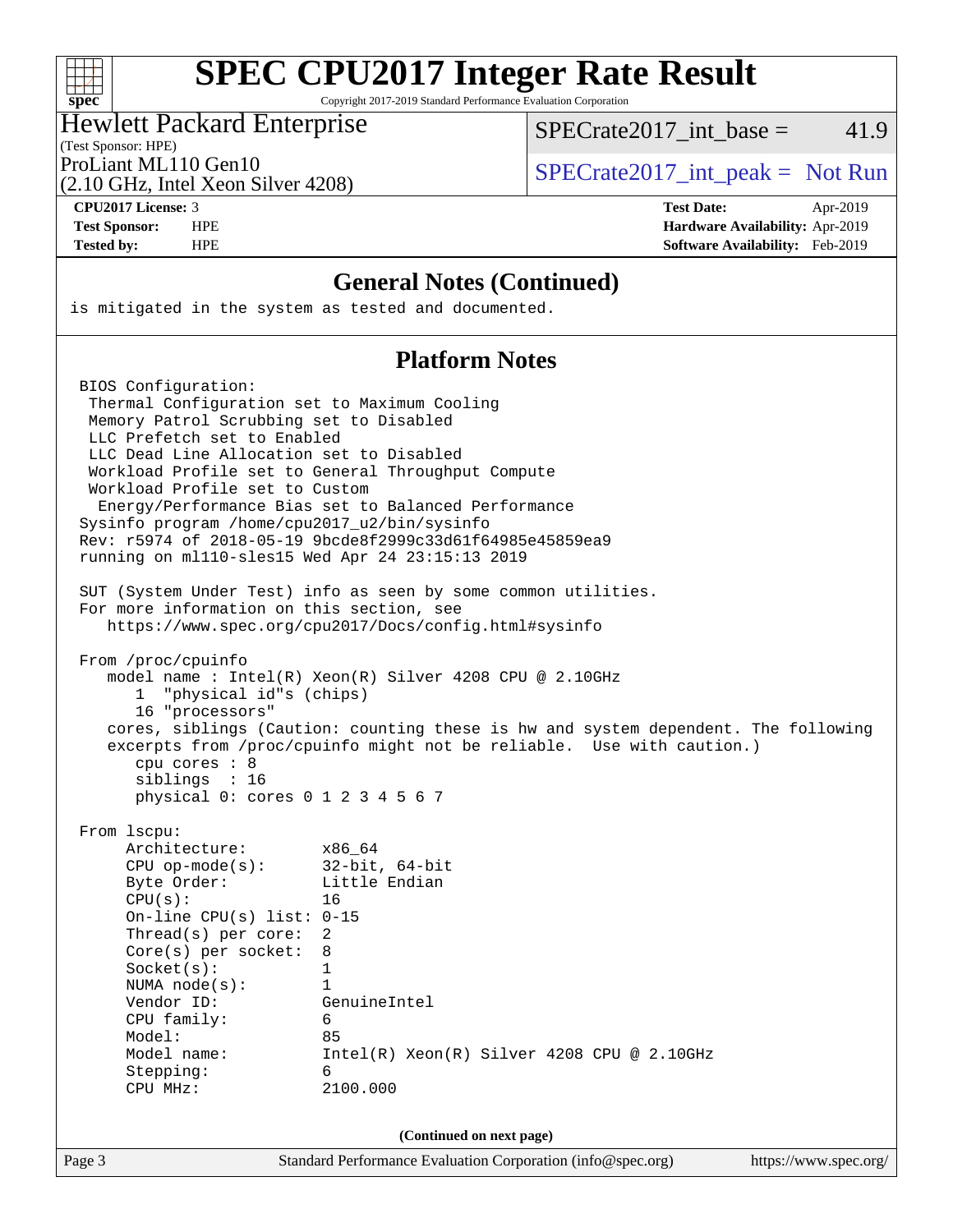

Copyright 2017-2019 Standard Performance Evaluation Corporation

#### Hewlett Packard Enterprise

(2.10 GHz, Intel Xeon Silver 4208)

SPECrate2017 int\_base =  $41.9$ 

(Test Sponsor: HPE)

ProLiant ML110 Gen10  $SPECTA = 2017$ \_int\_peak = Not Run

**[CPU2017 License:](http://www.spec.org/auto/cpu2017/Docs/result-fields.html#CPU2017License)** 3 **[Test Date:](http://www.spec.org/auto/cpu2017/Docs/result-fields.html#TestDate)** Apr-2019 **[Test Sponsor:](http://www.spec.org/auto/cpu2017/Docs/result-fields.html#TestSponsor)** HPE **[Hardware Availability:](http://www.spec.org/auto/cpu2017/Docs/result-fields.html#HardwareAvailability)** Apr-2019 **[Tested by:](http://www.spec.org/auto/cpu2017/Docs/result-fields.html#Testedby)** HPE **[Software Availability:](http://www.spec.org/auto/cpu2017/Docs/result-fields.html#SoftwareAvailability)** Feb-2019

### **[General Notes \(Continued\)](http://www.spec.org/auto/cpu2017/Docs/result-fields.html#GeneralNotes)**

is mitigated in the system as tested and documented.

### **[Platform Notes](http://www.spec.org/auto/cpu2017/Docs/result-fields.html#PlatformNotes)**

Page 3 Standard Performance Evaluation Corporation [\(info@spec.org\)](mailto:info@spec.org) <https://www.spec.org/> BIOS Configuration: Thermal Configuration set to Maximum Cooling Memory Patrol Scrubbing set to Disabled LLC Prefetch set to Enabled LLC Dead Line Allocation set to Disabled Workload Profile set to General Throughput Compute Workload Profile set to Custom Energy/Performance Bias set to Balanced Performance Sysinfo program /home/cpu2017\_u2/bin/sysinfo Rev: r5974 of 2018-05-19 9bcde8f2999c33d61f64985e45859ea9 running on ml110-sles15 Wed Apr 24 23:15:13 2019 SUT (System Under Test) info as seen by some common utilities. For more information on this section, see <https://www.spec.org/cpu2017/Docs/config.html#sysinfo> From /proc/cpuinfo model name : Intel(R) Xeon(R) Silver 4208 CPU @ 2.10GHz 1 "physical id"s (chips) 16 "processors" cores, siblings (Caution: counting these is hw and system dependent. The following excerpts from /proc/cpuinfo might not be reliable. Use with caution.) cpu cores : 8 siblings : 16 physical 0: cores 0 1 2 3 4 5 6 7 From lscpu: Architecture: x86\_64 CPU op-mode(s): 32-bit, 64-bit Byte Order: Little Endian CPU(s): 16 On-line CPU(s) list: 0-15 Thread(s) per core: 2 Core(s) per socket: 8 Socket(s): 1 NUMA node(s): 1 Vendor ID: GenuineIntel CPU family: 6 Model: 85 Model name: Intel(R) Xeon(R) Silver 4208 CPU @ 2.10GHz Stepping: 6 CPU MHz: 2100.000 **(Continued on next page)**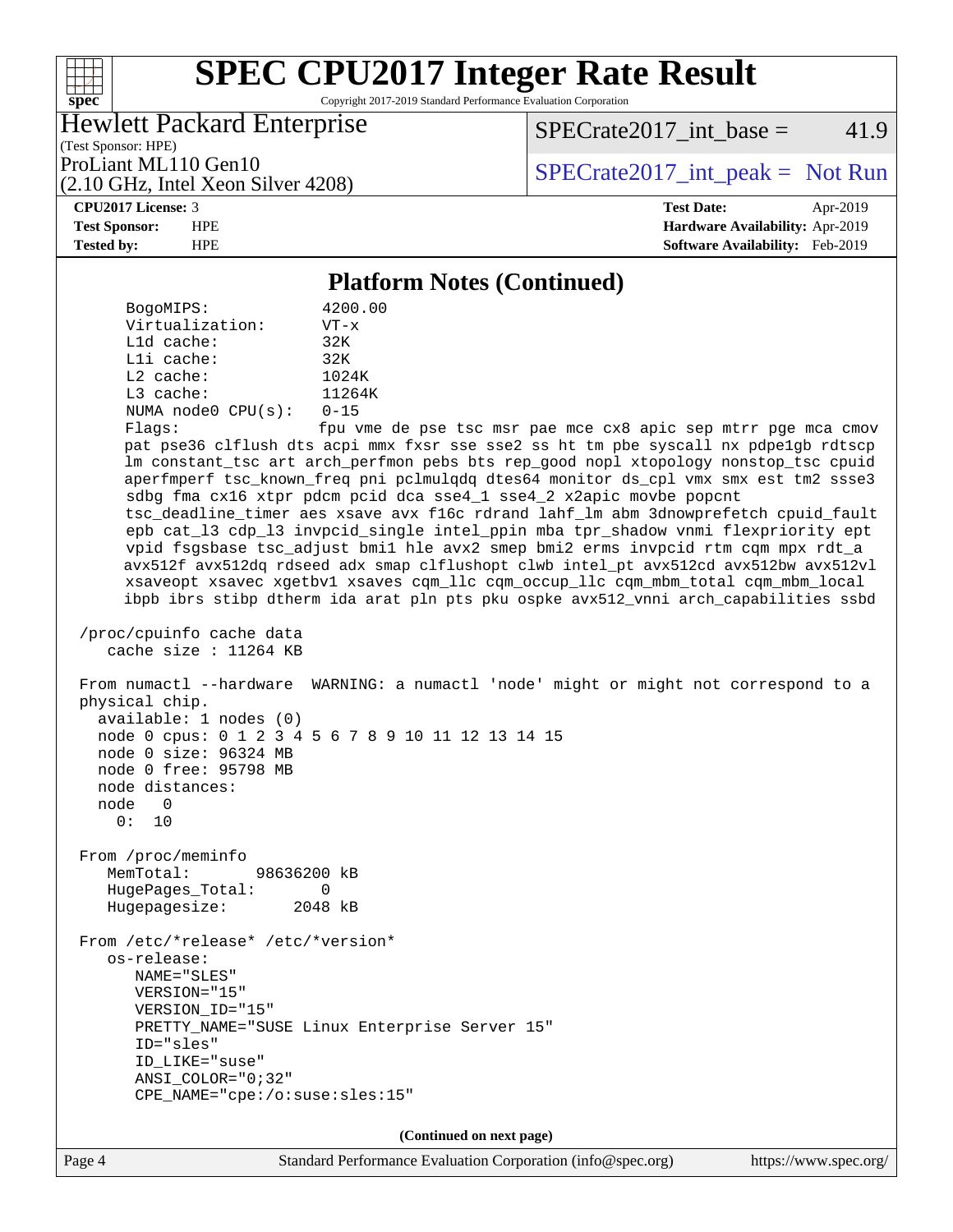Copyright 2017-2019 Standard Performance Evaluation Corporation

### Hewlett Packard Enterprise

(2.10 GHz, Intel Xeon Silver 4208)

 $SPECTate2017\_int\_base = 41.9$ 

(Test Sponsor: HPE)

ProLiant ML110 Gen10<br>  $SPECTate2017$ \_int\_peak = Not Run

**[spec](http://www.spec.org/)**

 $+\!\!+\!\!$ 

**[CPU2017 License:](http://www.spec.org/auto/cpu2017/Docs/result-fields.html#CPU2017License)** 3 **[Test Date:](http://www.spec.org/auto/cpu2017/Docs/result-fields.html#TestDate)** Apr-2019 **[Test Sponsor:](http://www.spec.org/auto/cpu2017/Docs/result-fields.html#TestSponsor)** HPE **[Hardware Availability:](http://www.spec.org/auto/cpu2017/Docs/result-fields.html#HardwareAvailability)** Apr-2019 **[Tested by:](http://www.spec.org/auto/cpu2017/Docs/result-fields.html#Testedby)** HPE **[Software Availability:](http://www.spec.org/auto/cpu2017/Docs/result-fields.html#SoftwareAvailability)** Feb-2019

#### **[Platform Notes \(Continued\)](http://www.spec.org/auto/cpu2017/Docs/result-fields.html#PlatformNotes)**

 BogoMIPS: 4200.00 Virtualization: VT-x L1d cache: 32K L1i cache: 32K L2 cache: 1024K L3 cache: 11264K NUMA node0 CPU(s): 0-15

Flags: fpu vme de pse tsc msr pae mce cx8 apic sep mtrr pge mca cmov pat pse36 clflush dts acpi mmx fxsr sse sse2 ss ht tm pbe syscall nx pdpe1gb rdtscp lm constant\_tsc art arch\_perfmon pebs bts rep\_good nopl xtopology nonstop\_tsc cpuid aperfmperf tsc\_known\_freq pni pclmulqdq dtes64 monitor ds\_cpl vmx smx est tm2 ssse3 sdbg fma cx16 xtpr pdcm pcid dca sse4\_1 sse4\_2 x2apic movbe popcnt tsc\_deadline\_timer aes xsave avx f16c rdrand lahf\_lm abm 3dnowprefetch cpuid\_fault epb cat\_l3 cdp\_l3 invpcid\_single intel\_ppin mba tpr\_shadow vnmi flexpriority ept vpid fsgsbase tsc\_adjust bmi1 hle avx2 smep bmi2 erms invpcid rtm cqm mpx rdt\_a avx512f avx512dq rdseed adx smap clflushopt clwb intel\_pt avx512cd avx512bw avx512vl xsaveopt xsavec xgetbv1 xsaves cqm\_llc cqm\_occup\_llc cqm\_mbm\_total cqm\_mbm\_local ibpb ibrs stibp dtherm ida arat pln pts pku ospke avx512\_vnni arch\_capabilities ssbd

 /proc/cpuinfo cache data cache size : 11264 KB

 From numactl --hardware WARNING: a numactl 'node' might or might not correspond to a physical chip. available: 1 nodes (0) node 0 cpus: 0 1 2 3 4 5 6 7 8 9 10 11 12 13 14 15 node 0 size: 96324 MB node 0 free: 95798 MB

 node distances: node 0 0: 10 From /proc/meminfo

 MemTotal: 98636200 kB HugePages\_Total: 0 Hugepagesize: 2048 kB

 From /etc/\*release\* /etc/\*version\* os-release: NAME="SLES" VERSION="15" VERSION\_ID="15" PRETTY\_NAME="SUSE Linux Enterprise Server 15" ID="sles" ID\_LIKE="suse" ANSI\_COLOR="0;32" CPE\_NAME="cpe:/o:suse:sles:15"

**(Continued on next page)**

Page 4 Standard Performance Evaluation Corporation [\(info@spec.org\)](mailto:info@spec.org) <https://www.spec.org/>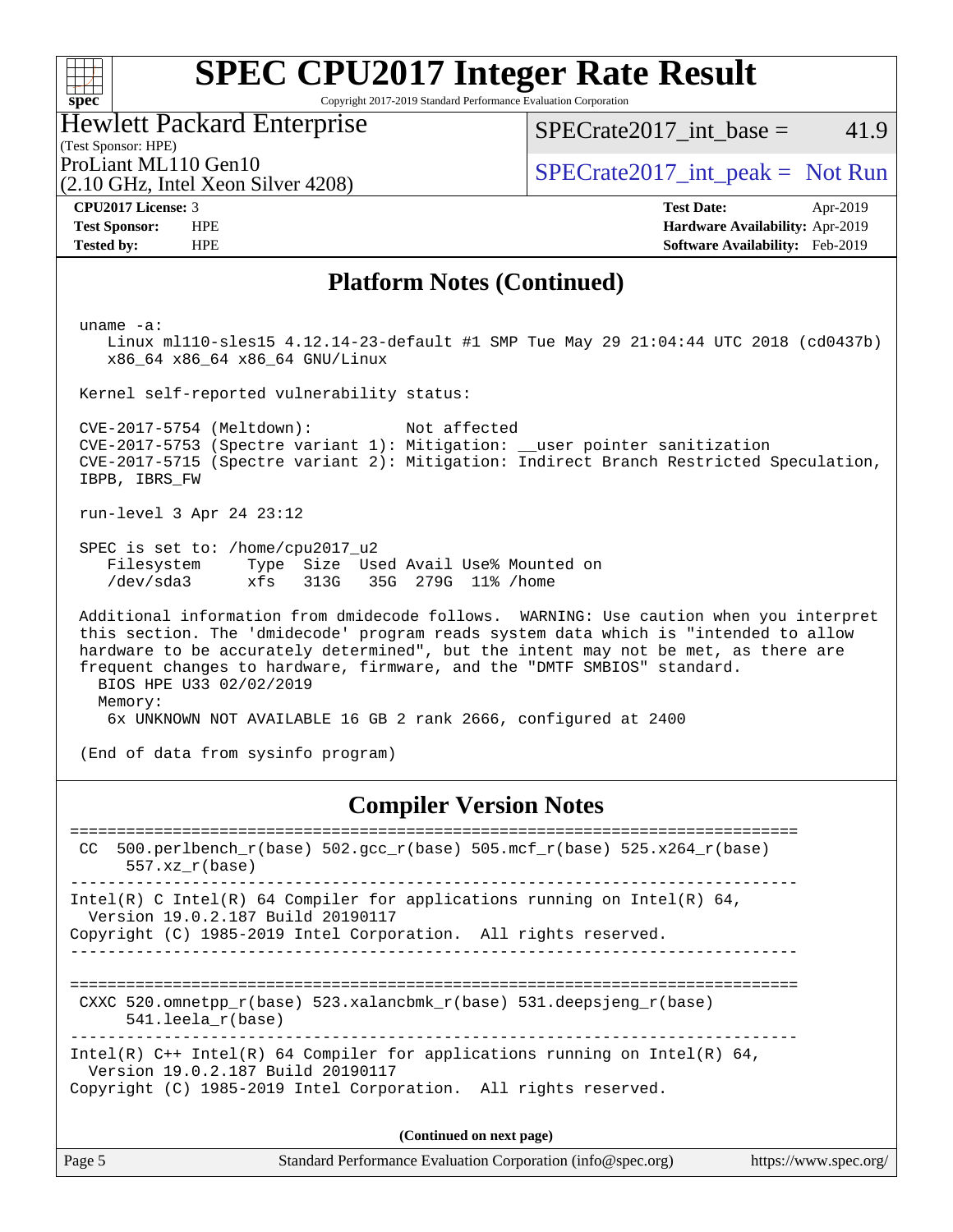| S | Ù | e |  |
|---|---|---|--|

Copyright 2017-2019 Standard Performance Evaluation Corporation

Hewlett Packard Enterprise

(2.10 GHz, Intel Xeon Silver 4208)

SPECrate2017 int\_base =  $41.9$ 

(Test Sponsor: HPE)

ProLiant ML110 Gen10  $SPECTA = 2017$ \_int\_peak = Not Run

**[CPU2017 License:](http://www.spec.org/auto/cpu2017/Docs/result-fields.html#CPU2017License)** 3 **[Test Date:](http://www.spec.org/auto/cpu2017/Docs/result-fields.html#TestDate)** Apr-2019 **[Test Sponsor:](http://www.spec.org/auto/cpu2017/Docs/result-fields.html#TestSponsor)** HPE **[Hardware Availability:](http://www.spec.org/auto/cpu2017/Docs/result-fields.html#HardwareAvailability)** Apr-2019 **[Tested by:](http://www.spec.org/auto/cpu2017/Docs/result-fields.html#Testedby)** HPE **[Software Availability:](http://www.spec.org/auto/cpu2017/Docs/result-fields.html#SoftwareAvailability)** Feb-2019

### **[Platform Notes \(Continued\)](http://www.spec.org/auto/cpu2017/Docs/result-fields.html#PlatformNotes)**

uname -a:

 Linux ml110-sles15 4.12.14-23-default #1 SMP Tue May 29 21:04:44 UTC 2018 (cd0437b) x86\_64 x86\_64 x86\_64 GNU/Linux

Kernel self-reported vulnerability status:

 CVE-2017-5754 (Meltdown): Not affected CVE-2017-5753 (Spectre variant 1): Mitigation: \_\_user pointer sanitization CVE-2017-5715 (Spectre variant 2): Mitigation: Indirect Branch Restricted Speculation, IBPB, IBRS\_FW

run-level 3 Apr 24 23:12

 SPEC is set to: /home/cpu2017\_u2 Filesystem Type Size Used Avail Use% Mounted on /dev/sda3 xfs 313G 35G 279G 11% /home

 Additional information from dmidecode follows. WARNING: Use caution when you interpret this section. The 'dmidecode' program reads system data which is "intended to allow hardware to be accurately determined", but the intent may not be met, as there are frequent changes to hardware, firmware, and the "DMTF SMBIOS" standard. BIOS HPE U33 02/02/2019 Memory: 6x UNKNOWN NOT AVAILABLE 16 GB 2 rank 2666, configured at 2400

(End of data from sysinfo program)

### **[Compiler Version Notes](http://www.spec.org/auto/cpu2017/Docs/result-fields.html#CompilerVersionNotes)**

Page 5 Standard Performance Evaluation Corporation [\(info@spec.org\)](mailto:info@spec.org) <https://www.spec.org/> ============================================================================== CC 500.perlbench\_r(base)  $502.\text{gcc}_r(\text{base})$  505.mcf\_r(base) 525.x264\_r(base) 557.xz\_r(base) ------------------------------------------------------------------------------ Intel(R) C Intel(R) 64 Compiler for applications running on Intel(R)  $64$ , Version 19.0.2.187 Build 20190117 Copyright (C) 1985-2019 Intel Corporation. All rights reserved. ------------------------------------------------------------------------------ ============================================================================== CXXC 520.omnetpp\_r(base) 523.xalancbmk\_r(base) 531.deepsjeng\_r(base) 541.leela\_r(base) ------------------------------------------------------------------------------ Intel(R) C++ Intel(R) 64 Compiler for applications running on Intel(R) 64, Version 19.0.2.187 Build 20190117 Copyright (C) 1985-2019 Intel Corporation. All rights reserved. **(Continued on next page)**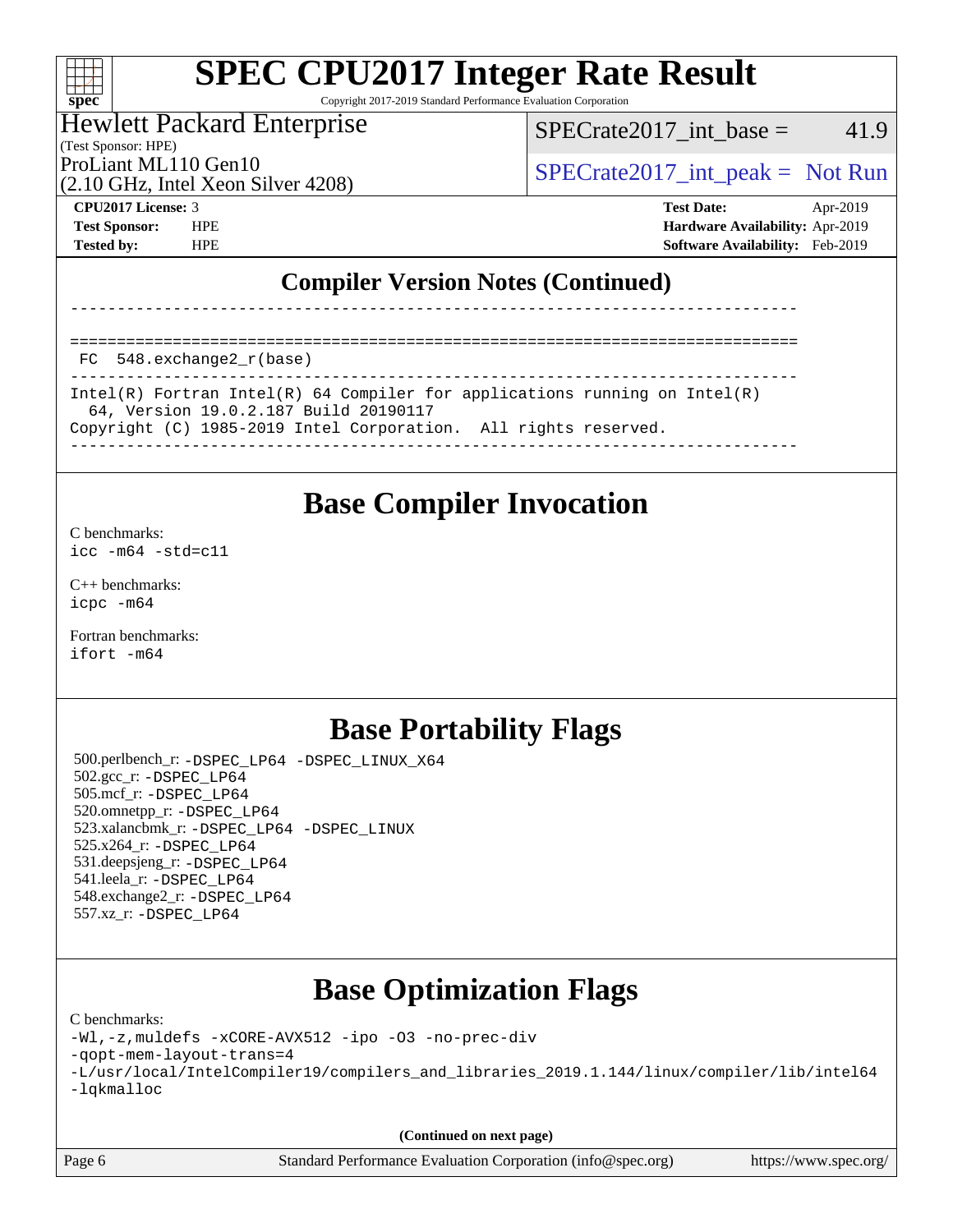### $\pm\pm\prime$ **[spec](http://www.spec.org/)**

# **[SPEC CPU2017 Integer Rate Result](http://www.spec.org/auto/cpu2017/Docs/result-fields.html#SPECCPU2017IntegerRateResult)**

Copyright 2017-2019 Standard Performance Evaluation Corporation

#### Hewlett Packard Enterprise

(Test Sponsor: HPE)

 $SPECTate2017\_int\_base = 41.9$ 

(2.10 GHz, Intel Xeon Silver 4208)

ProLiant ML110 Gen10  $SPECTA 2017$ \_int\_peak = Not Run

**[CPU2017 License:](http://www.spec.org/auto/cpu2017/Docs/result-fields.html#CPU2017License)** 3 **[Test Date:](http://www.spec.org/auto/cpu2017/Docs/result-fields.html#TestDate)** Apr-2019 **[Test Sponsor:](http://www.spec.org/auto/cpu2017/Docs/result-fields.html#TestSponsor)** HPE **[Hardware Availability:](http://www.spec.org/auto/cpu2017/Docs/result-fields.html#HardwareAvailability)** Apr-2019 **[Tested by:](http://www.spec.org/auto/cpu2017/Docs/result-fields.html#Testedby)** HPE **[Software Availability:](http://www.spec.org/auto/cpu2017/Docs/result-fields.html#SoftwareAvailability)** Feb-2019

### **[Compiler Version Notes \(Continued\)](http://www.spec.org/auto/cpu2017/Docs/result-fields.html#CompilerVersionNotes)**

==============================================================================

FC 548.exchange2\_r(base)

| Intel(R) Fortran Intel(R) 64 Compiler for applications running on Intel(R) |
|----------------------------------------------------------------------------|
| 64, Version 19.0.2.187 Build 20190117                                      |
| Copyright (C) 1985-2019 Intel Corporation. All rights reserved.            |
|                                                                            |

------------------------------------------------------------------------------

**[Base Compiler Invocation](http://www.spec.org/auto/cpu2017/Docs/result-fields.html#BaseCompilerInvocation)**

[C benchmarks](http://www.spec.org/auto/cpu2017/Docs/result-fields.html#Cbenchmarks):

 $\text{icc}$   $-\text{m64}$   $-\text{std}$ =c11

[C++ benchmarks:](http://www.spec.org/auto/cpu2017/Docs/result-fields.html#CXXbenchmarks) [icpc -m64](http://www.spec.org/cpu2017/results/res2019q2/cpu2017-20190524-14378.flags.html#user_CXXbase_intel_icpc_64bit_4ecb2543ae3f1412ef961e0650ca070fec7b7afdcd6ed48761b84423119d1bf6bdf5cad15b44d48e7256388bc77273b966e5eb805aefd121eb22e9299b2ec9d9)

[Fortran benchmarks](http://www.spec.org/auto/cpu2017/Docs/result-fields.html#Fortranbenchmarks): [ifort -m64](http://www.spec.org/cpu2017/results/res2019q2/cpu2017-20190524-14378.flags.html#user_FCbase_intel_ifort_64bit_24f2bb282fbaeffd6157abe4f878425411749daecae9a33200eee2bee2fe76f3b89351d69a8130dd5949958ce389cf37ff59a95e7a40d588e8d3a57e0c3fd751)

## **[Base Portability Flags](http://www.spec.org/auto/cpu2017/Docs/result-fields.html#BasePortabilityFlags)**

 500.perlbench\_r: [-DSPEC\\_LP64](http://www.spec.org/cpu2017/results/res2019q2/cpu2017-20190524-14378.flags.html#b500.perlbench_r_basePORTABILITY_DSPEC_LP64) [-DSPEC\\_LINUX\\_X64](http://www.spec.org/cpu2017/results/res2019q2/cpu2017-20190524-14378.flags.html#b500.perlbench_r_baseCPORTABILITY_DSPEC_LINUX_X64) 502.gcc\_r: [-DSPEC\\_LP64](http://www.spec.org/cpu2017/results/res2019q2/cpu2017-20190524-14378.flags.html#suite_basePORTABILITY502_gcc_r_DSPEC_LP64) 505.mcf\_r: [-DSPEC\\_LP64](http://www.spec.org/cpu2017/results/res2019q2/cpu2017-20190524-14378.flags.html#suite_basePORTABILITY505_mcf_r_DSPEC_LP64) 520.omnetpp\_r: [-DSPEC\\_LP64](http://www.spec.org/cpu2017/results/res2019q2/cpu2017-20190524-14378.flags.html#suite_basePORTABILITY520_omnetpp_r_DSPEC_LP64) 523.xalancbmk\_r: [-DSPEC\\_LP64](http://www.spec.org/cpu2017/results/res2019q2/cpu2017-20190524-14378.flags.html#suite_basePORTABILITY523_xalancbmk_r_DSPEC_LP64) [-DSPEC\\_LINUX](http://www.spec.org/cpu2017/results/res2019q2/cpu2017-20190524-14378.flags.html#b523.xalancbmk_r_baseCXXPORTABILITY_DSPEC_LINUX) 525.x264\_r: [-DSPEC\\_LP64](http://www.spec.org/cpu2017/results/res2019q2/cpu2017-20190524-14378.flags.html#suite_basePORTABILITY525_x264_r_DSPEC_LP64) 531.deepsjeng\_r: [-DSPEC\\_LP64](http://www.spec.org/cpu2017/results/res2019q2/cpu2017-20190524-14378.flags.html#suite_basePORTABILITY531_deepsjeng_r_DSPEC_LP64) 541.leela\_r: [-DSPEC\\_LP64](http://www.spec.org/cpu2017/results/res2019q2/cpu2017-20190524-14378.flags.html#suite_basePORTABILITY541_leela_r_DSPEC_LP64) 548.exchange2\_r: [-DSPEC\\_LP64](http://www.spec.org/cpu2017/results/res2019q2/cpu2017-20190524-14378.flags.html#suite_basePORTABILITY548_exchange2_r_DSPEC_LP64) 557.xz\_r: [-DSPEC\\_LP64](http://www.spec.org/cpu2017/results/res2019q2/cpu2017-20190524-14378.flags.html#suite_basePORTABILITY557_xz_r_DSPEC_LP64)

## **[Base Optimization Flags](http://www.spec.org/auto/cpu2017/Docs/result-fields.html#BaseOptimizationFlags)**

[C benchmarks](http://www.spec.org/auto/cpu2017/Docs/result-fields.html#Cbenchmarks):

[-Wl,-z,muldefs](http://www.spec.org/cpu2017/results/res2019q2/cpu2017-20190524-14378.flags.html#user_CCbase_link_force_multiple1_b4cbdb97b34bdee9ceefcfe54f4c8ea74255f0b02a4b23e853cdb0e18eb4525ac79b5a88067c842dd0ee6996c24547a27a4b99331201badda8798ef8a743f577) [-xCORE-AVX512](http://www.spec.org/cpu2017/results/res2019q2/cpu2017-20190524-14378.flags.html#user_CCbase_f-xCORE-AVX512) [-ipo](http://www.spec.org/cpu2017/results/res2019q2/cpu2017-20190524-14378.flags.html#user_CCbase_f-ipo) [-O3](http://www.spec.org/cpu2017/results/res2019q2/cpu2017-20190524-14378.flags.html#user_CCbase_f-O3) [-no-prec-div](http://www.spec.org/cpu2017/results/res2019q2/cpu2017-20190524-14378.flags.html#user_CCbase_f-no-prec-div)

[-qopt-mem-layout-trans=4](http://www.spec.org/cpu2017/results/res2019q2/cpu2017-20190524-14378.flags.html#user_CCbase_f-qopt-mem-layout-trans_fa39e755916c150a61361b7846f310bcdf6f04e385ef281cadf3647acec3f0ae266d1a1d22d972a7087a248fd4e6ca390a3634700869573d231a252c784941a8)

```
-L/usr/local/IntelCompiler19/compilers_and_libraries_2019.1.144/linux/compiler/lib/intel64
-lqkmalloc
```
**(Continued on next page)**